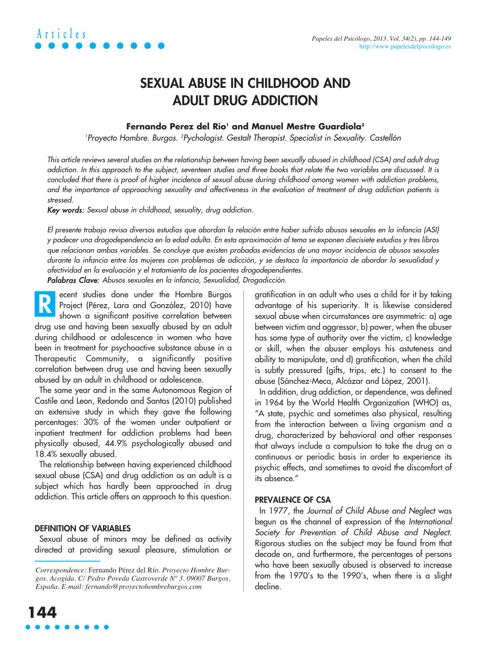

### **SEXUAL ABUSE IN CHILDHOOD AND ADULT DRUG ADDICTION**

#### **Fernando Perez del Río<sup>1</sup> and Manuel Mestre Guardiola<sup>2</sup>**

'Proyecto Hombre. Burgos. <sup>2</sup>Pychologist. Gestalt Therapist. Specialist in Sexuality. Castellón

This article reviews several studies on the relationship between having been sexually abused in childhood (CSA) and adult drug addiction. In this approach to the subject, seventeen studies and three books that relate the two variables are discussed. It is concluded that there is proof of higher incidence of sexual abuse during childhood among women with addiction problems, and the importance of approaching sexuality and affectiveness in the evaluation of treatment of drug addiction patients is stressed.

Key words: Sexual abuse in childhood, sexuality, drug addiction.

El presente trabajo revisa diversos estudios que abordan la relación entre haber sufrido abusos sexuales en la infancia (ASI) y padecer una drogodependencia en la edad adulta. En esta aproximación al tema se exponen diecisiete estudios y tres libros que relacionan ambas variables. Se concluye que existen probadas evidencias de una mayor incidencia de abusos sexuales durante la infancia entre las mujeres con problemas de adicción, y se destaca la importancia de abordar la sexualidad y afectividad en la evaluación y el tratamiento de los pacientes drogodependientes.

Palabras Clave: Abusos sexuales en la infancia, Sexualidad, Drogadicción.

ecent studies done under the Hombre Burgos Project (Pérez, Lara and González, 2010) have shown a significant positive correlation between drug use and having been sexually abused by an adult during childhood or adolescence in women who have been in treatment for psychoactive substance abuse in a Therapeutic Community, a significantly positive correlation between drug use and having been sexually abused by an adult in childhood or adolescence. **R**

The same year and in the same Autonomous Region of Castile and Leon, Redondo and Santos (2010) published an extensive study in which they gave the following percentages: 30% of the women under outpatient or inpatient treatment for addiction problems had been physically abused, 44.9% psychologically abused and 18.4% sexually abused.

The relationship between having experienced childhood sexual abuse (CSA) and drug addiction as an adult is a subject which has hardly been approached in drug addiction. This article offers an approach to this question.

#### **DEFINITION OF VARIABLES**

Sexual abuse of minors may be defined as activity directed at providing sexual pleasure, stimulation or gratification in an adult who uses a child for it by taking advantage of his superiority. It is likewise considered sexual abuse when circumstances are asymmetric: a) age between victim and aggressor, b) power, when the abuser has some type of authority over the victim, c) knowledge or skill, when the abuser employs his astuteness and ability to manipulate, and d) gratification, when the child is subtly pressured (gifts, trips, etc.) to consent to the abuse (Sánchez-Meca, Alcázar and López, 2001).

In addition, drug addiction, or dependence, was defined in 1964 by the World Health Organization (WHO) as, "A state, psychic and sometimes also physical, resulting from the interaction between a living organism and a drug, characterized by behavioral and other responses that always include a compulsion to take the drug on a continuous or periodic basis in order to experience its psychic effects, and sometimes to avoid the discomfort of its absence."

#### **PREVALENCE OF CSA**

In 1977, the Journal of Child Abuse and Neglect was begun as the channel of expression of the International Society for Prevention of Child Abuse and Neglect. Rigorous studies on the subject may be found from that decade on, and furthermore, the percentages of persons who have been sexually abused is observed to increase from the 1970's to the 1990's, when there is a slight decline.

*Correspondence:* Fernando Pérez del Río. *Proyecto Hombre Burgos. Acogida. C/ Pedro Poveda Castroverde Nº 3. 09007 Burgos. España. E-mail: fernando@proyectohombreburgos.com*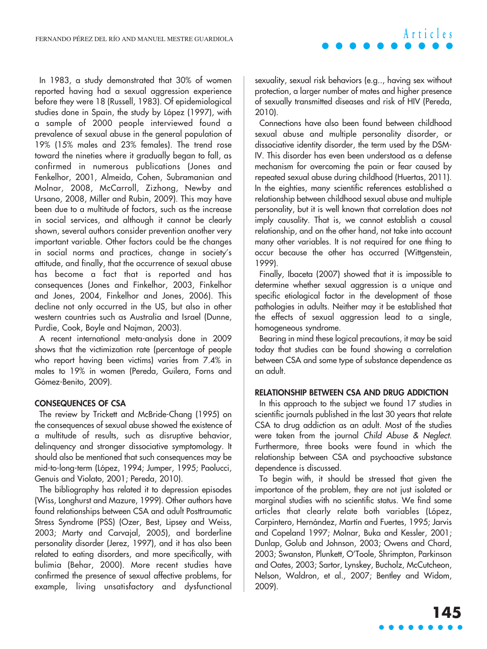In 1983, a study demonstrated that 30% of women reported having had a sexual aggression experience before they were 18 (Russell, 1983). Of epidemiological studies done in Spain, the study by López (1997), with a sample of 2000 people interviewed found a prevalence of sexual abuse in the general population of 19% (15% males and 23% females). The trend rose toward the nineties where it gradually began to fall, as confirmed in numerous publications (Jones and Fenkelhor, 2001, Almeida, Cohen, Subramanian and Molnar, 2008, McCarroll, Zizhong, Newby and Ursano, 2008, Miller and Rubin, 2009). This may have been due to a multitude of factors, such as the increase in social services, and although it cannot be clearly shown, several authors consider prevention another very important variable. Other factors could be the changes in social norms and practices, change in society's attitude, and finally, that the occurrence of sexual abuse has become a fact that is reported and has consequences (Jones and Finkelhor, 2003, Finkelhor and Jones, 2004, Finkelhor and Jones, 2006). This decline not only occurred in the US, but also in other western countries such as Australia and Israel (Dunne, Purdie, Cook, Boyle and Najman, 2003).

A recent international meta-analysis done in 2009 shows that the victimization rate (percentage of people who report having been victims) varies from 7.4% in males to 19% in women (Pereda, Guilera, Forns and Gómez-Benito, 2009).

#### **CONSEQUENCES OF CSA**

The review by Trickett and McBride-Chang (1995) on the consequences of sexual abuse showed the existence of a multitude of results, such as disruptive behavior, delinquency and stronger dissociative symptomology. It should also be mentioned that such consequences may be mid-to-long-term (López, 1994; Jumper, 1995; Paolucci, Genuis and Violato, 2001; Pereda, 2010).

The bibliography has related it to depression episodes (Wiss, Longhurst and Mazure, 1999). Other authors have found relationships between CSA and adult Posttraumatic Stress Syndrome (PSS) (Ozer, Best, Lipsey and Weiss, 2003; Marty and Carvajal, 2005), and borderline personality disorder (Jerez, 1997), and it has also been related to eating disorders, and more specifically, with bulimia (Behar, 2000). More recent studies have confirmed the presence of sexual affective problems, for example, living unsatisfactory and dysfunctional

sexuality, sexual risk behaviors (e.g.., having sex without protection, a larger number of mates and higher presence of sexually transmitted diseases and risk of HIV (Pereda, 2010).

Connections have also been found between childhood sexual abuse and multiple personality disorder, or dissociative identity disorder, the term used by the DSM-IV. This disorder has even been understood as a defense mechanism for overcoming the pain or fear caused by repeated sexual abuse during childhood (Huertas, 2011). In the eighties, many scientific references established a relationship between childhood sexual abuse and multiple personality, but it is well known that correlation does not imply causality. That is, we cannot establish a causal relationship, and on the other hand, not take into account many other variables. It is not required for one thing to occur because the other has occurred (Wittgenstein, 1999).

Finally, Ibaceta (2007) showed that it is impossible to determine whether sexual aggression is a unique and specific etiological factor in the development of those pathologies in adults. Neither may it be established that the effects of sexual aggression lead to a single, homogeneous syndrome.

Bearing in mind these logical precautions, it may be said today that studies can be found showing a correlation between CSA and some type of substance dependence as an adult.

#### **RELATIONSHIP BETWEEN CSA AND DRUG ADDICTION**

In this approach to the subject we found 17 studies in scientific journals published in the last 30 years that relate CSA to drug addiction as an adult. Most of the studies were taken from the journal Child Abuse & Neglect. Furthermore, three books were found in which the relationship between CSA and psychoactive substance dependence is discussed.

To begin with, it should be stressed that given the importance of the problem, they are not just isolated or marginal studies with no scientific status. We find some articles that clearly relate both variables (López, Carpintero, Hernández, Martín and Fuertes, 1995; Jarvis and Copeland 1997; Molnar, Buka and Kessler, 2001; Dunlap, Golub and Johnson, 2003; Owens and Chard, 2003; Swanston, Plunkett, O'Toole, Shrimpton, Parkinson and Oates, 2003; Sartor, Lynskey, Bucholz, McCutcheon, Nelson, Waldron, et al., 2007; Bentley and Widom, 2009).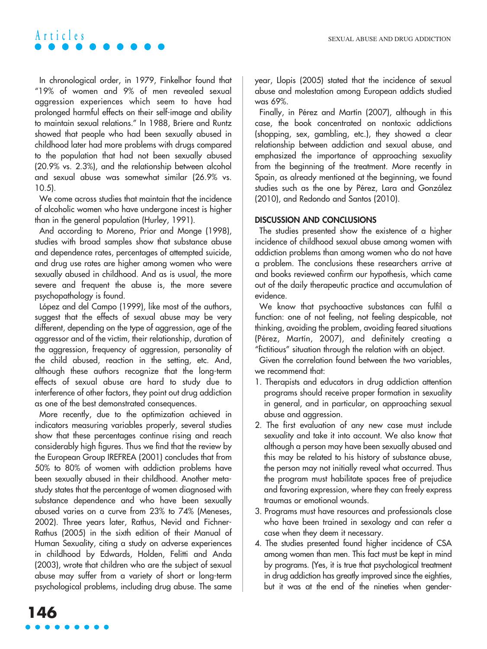## **Articles**

In chronological order, in 1979, Finkelhor found that "19% of women and 9% of men revealed sexual aggression experiences which seem to have had prolonged harmful effects on their self-image and ability to maintain sexual relations." In 1988, Briere and Runtz showed that people who had been sexually abused in childhood later had more problems with drugs compared to the population that had not been sexually abused (20.9% vs. 2.3%), and the relationship between alcohol and sexual abuse was somewhat similar (26.9% vs. 10.5).

We come across studies that maintain that the incidence of alcoholic women who have undergone incest is higher than in the general population (Hurley, 1991).

And according to Moreno, Prior and Monge (1998), studies with broad samples show that substance abuse and dependence rates, percentages of attempted suicide, and drug use rates are higher among women who were sexually abused in childhood. And as is usual, the more severe and frequent the abuse is, the more severe psychopathology is found.

López and del Campo (1999), like most of the authors, suggest that the effects of sexual abuse may be very different, depending on the type of aggression, age of the aggressor and of the victim, their relationship, duration of the aggression, frequency of aggression, personality of the child abused, reaction in the setting, etc. And, although these authors recognize that the long-term effects of sexual abuse are hard to study due to interference of other factors, they point out drug addiction as one of the best demonstrated consequences.

More recently, due to the optimization achieved in indicators measuring variables properly, several studies show that these percentages continue rising and reach considerably high figures. Thus we find that the review by the European Group IREFREA (2001) concludes that from 50% to 80% of women with addiction problems have been sexually abused in their childhood. Another metastudy states that the percentage of women diagnosed with substance dependence and who have been sexually abused varies on a curve from 23% to 74% (Meneses, 2002). Three years later, Rathus, Nevid and Fichner-Rathus (2005) in the sixth edition of their Manual of Human Sexuality, citing a study on adverse experiences in childhood by Edwards, Holden, Felitti and Anda (2003), wrote that children who are the subject of sexual abuse may suffer from a variety of short or long-term psychological problems, including drug abuse. The same year, Llopis (2005) stated that the incidence of sexual abuse and molestation among European addicts studied was 69%.

Finally, in Pérez and Martín (2007), although in this case, the book concentrated on nontoxic addictions (shopping, sex, gambling, etc.), they showed a clear relationship between addiction and sexual abuse, and emphasized the importance of approaching sexuality from the beginning of the treatment. More recently in Spain, as already mentioned at the beginning, we found studies such as the one by Pérez, Lara and González (2010), and Redondo and Santos (2010).

#### **DISCUSSION AND CONCLUSIONS**

The studies presented show the existence of a higher incidence of childhood sexual abuse among women with addiction problems than among women who do not have a problem. The conclusions these researchers arrive at and books reviewed confirm our hypothesis, which came out of the daily therapeutic practice and accumulation of evidence.

We know that psychoactive substances can fulfil a function: one of not feeling, not feeling despicable, not thinking, avoiding the problem, avoiding feared situations (Pérez, Martín, 2007), and definitely creating a "fictitious" situation through the relation with an object.

Given the correlation found between the two variables, we recommend that:

- 1. Therapists and educators in drug addiction attention programs should receive proper formation in sexuality in general, and in particular, on approaching sexual abuse and aggression.
- 2. The first evaluation of any new case must include sexuality and take it into account. We also know that although a person may have been sexually abused and this may be related to his history of substance abuse, the person may not initially reveal what occurred. Thus the program must habilitate spaces free of prejudice and favoring expression, where they can freely express traumas or emotional wounds.
- 3. Programs must have resources and professionals close who have been trained in sexology and can refer a case when they deem it necessary.
- 4. The studies presented found higher incidence of CSA among women than men. This fact must be kept in mind by programs. (Yes, it is true that psychological treatment in drug addiction has greatly improved since the eighties, but it was at the end of the nineties when gender-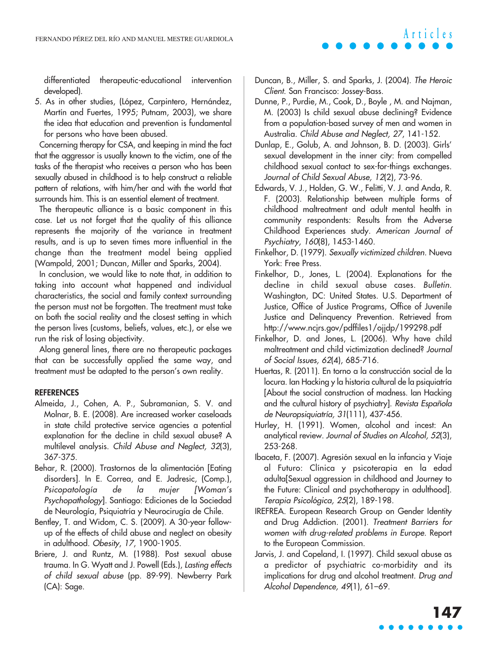differentiated therapeutic-educational intervention developed).

5. As in other studies, (López, Carpintero, Hernández, Martín and Fuertes, 1995; Putnam, 2003), we share the idea that education and prevention is fundamental for persons who have been abused.

Concerning therapy for CSA, and keeping in mind the fact that the aggressor is usually known to the victim, one of the tasks of the therapist who receives a person who has been sexually abused in childhood is to help construct a reliable pattern of relations, with him/her and with the world that surrounds him. This is an essential element of treatment.

The therapeutic alliance is a basic component in this case. Let us not forget that the quality of this alliance represents the majority of the variance in treatment results, and is up to seven times more influential in the change than the treatment model being applied (Wampold, 2001; Duncan, Miller and Sparks, 2004).

In conclusion, we would like to note that, in addition to taking into account what happened and individual characteristics, the social and family context surrounding the person must not be forgotten. The treatment must take on both the social reality and the closest setting in which the person lives (customs, beliefs, values, etc.), or else we run the risk of losing objectivity.

Along general lines, there are no therapeutic packages that can be successfully applied the same way, and treatment must be adapted to the person's own reality.

#### **REFERENCES**

- Almeida, J., Cohen, A. P., Subramanian, S. V. and Molnar, B. E. (2008). Are increased worker caseloads in state child protective service agencies a potential explanation for the decline in child sexual abuse? A multilevel analysis. Child Abuse and Neglect, 32(3), 367-375.
- Behar, R. (2000). Trastornos de la alimentación [Eating disorders]. In E. Correa, and E. Jadresic, (Comp.), Psicopatología de la mujer [Woman's Psychopathology]. Santiago: Ediciones de la Sociedad de Neurología, Psiquiatría y Neurocirugía de Chile.
- Bentley, T. and Widom, C. S. (2009). A 30-year followup of the effects of child abuse and neglect on obesity in adulthood. Obesity, 17, 1900-1905.
- Briere, J. and Runtz, M. (1988). Post sexual abuse trauma. In G. Wyatt and J. Powell (Eds.), Lasting effects of child sexual abuse (pp. 89-99). Newberry Park (CA): Sage.
- Duncan, B., Miller, S. and Sparks, J. (2004). The Heroic Client. San Francisco: Jossey-Bass.
- Dunne, P., Purdie, M., Cook, D., Boyle , M. and Najman, M. (2003) Is child sexual abuse declining? Evidence from a population-based survey of men and women in Australia. Child Abuse and Neglect, 27, 141-152.
- Dunlap, E., Golub, A. and Johnson, B. D. (2003). Girls' sexual development in the inner city: from compelled childhood sexual contact to sex-for-things exchanges. Journal of Child Sexual Abuse, 12(2), 73-96.
- Edwards, V. J., Holden, G. W., Felitti, V. J. and Anda, R. F. (2003). Relationship between multiple forms of childhood maltreatment and adult mental health in community respondents: Results from the Adverse Childhood Experiences study. American Journal of Psychiatry, <sup>160</sup>(8), 1453-1460.
- Finkelhor, D. (1979). Sexually victimized children. Nueva York: Free Press.
- Finkelhor, D., Jones, L. (2004). Explanations for the decline in child sexual abuse cases. Bulletin. Washington, DC: United States. U.S. Department of Justice, Office of Justice Programs, Office of Juvenile Justice and Delinquency Prevention. Retrieved from http://www.ncjrs.gov/pdffiles1/ojjdp/199298.pdf
- Finkelhor, D. and Jones, L. (2006). Why have child maltreatment and child victimization declined? Journal of Social Issues, 62(4), 685-716.
- Huertas, R. (2011). En torno a la construcción social de la locura. Ian Hacking y la historia cultural de la psiquiatría [About the social construction of madness. Ian Hacking and the cultural history of psychiatry]. Revista Española de Neuropsiquiatría, 31(111), 437-456.
- Hurley, H. (1991). Women, alcohol and incest: An analytical review. Journal of Studies on Alcohol, 52(3), 253-268.
- Ibaceta, F. (2007). Agresión sexual en la infancia y Viaje al Futuro: Clínica y psicoterapia en la edad adulta[Sexual aggression in childhood and Journey to the Future: Clinical and psychotherapy in adulthood]. Terapia Psicológica, 25(2), 189-198.
- IREFREA. European Research Group on Gender Identity and Drug Addiction. (2001). Treatment Barriers for women with drug-related problems in Europe. Report to the European Commission.
- Jarvis, J. and Copeland, I. (1997). Child sexual abuse as a predictor of psychiatric co-morbidity and its implications for drug and alcohol treatment. Drug and Alcohol Dependence, 49(1), 61–69.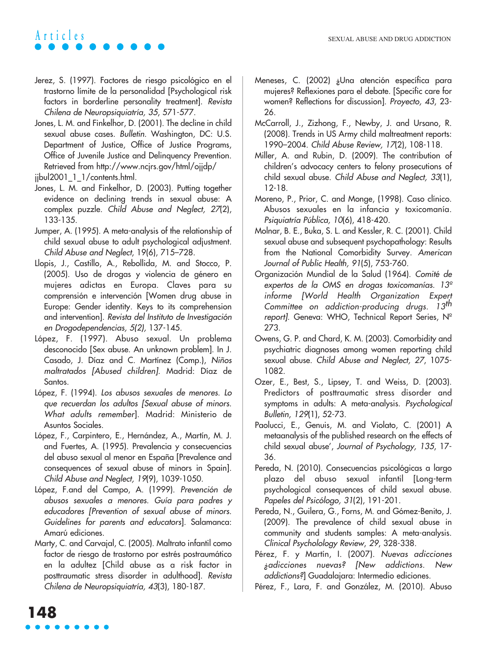# **Articles**

- Jerez, S. (1997). Factores de riesgo psicológico en el trastorno límite de la personalidad [Psychological risk factors in borderline personality treatment]. Revista Chilena de Neuropsiquiatría, 35, 571-577.
- Jones, L. M. and Finkelhor, D. (2001). The decline in child sexual abuse cases. Bulletin. Washington, DC: U.S. Department of Justice, Office of Justice Programs, Office of Juvenile Justice and Delinquency Prevention. Retrieved from http://www.ncjrs.gov/html/ojjdp/

jjbul2001\_1\_1/contents.html.

- Jones, L. M. and Finkelhor, D. (2003). Putting together evidence on declining trends in sexual abuse: A complex puzzle. Child Abuse and Neglect, 27(2), 133-135.
- Jumper, A. (1995). A meta-analysis of the relationship of child sexual abuse to adult psychological adjustment. Child Abuse and Neglect, 19(6), 715–728.
- Llopis, J., Castillo, A., Rebollida, M. and Stocco, P. (2005). Uso de drogas y violencia de género en mujeres adictas en Europa. Claves para su comprensión e intervención [Women drug abuse in Europe: Gender identity. Keys to its comprehension and intervention]. Revista del Instituto de Investigación en Drogodependencias, 5(2), 137-145.
- López, F. (1997). Abuso sexual. Un problema desconocido [Sex abuse. An unknown problem]. In J. Casado, J. Díaz and C. Martínez (Comp.), Niños maltratados [Abused children]. Madrid: Díaz de Santos.
- López, F. (1994). Los abusos sexuales de menores. Lo que recuerdan los adultos [Sexual abuse of minors. What adults remember]. Madrid: Ministerio de Asuntos Sociales.
- López, F., Carpintero, E., Hernández, A., Martín, M. J. and Fuertes, A. (1995). Prevalencia y consecuencias del abuso sexual al menor en España [Prevalence and consequences of sexual abuse of minors in Spain]. Child Abuse and Neglect, 19(9), 1039-1050.
- López, F.and del Campo, A. (1999). Prevención de abusos sexuales a menores. Guía para padres y educadores [Prevention of sexual abuse of minors. Guidelines for parents and educators]. Salamanca: Amarú ediciones.
- Marty, C. and Carvajal, C. (2005). Maltrato infantil como factor de riesgo de trastorno por estrés postraumático en la adultez [Child abuse as a risk factor in posttraumatic stress disorder in adulthood]. Revista Chilena de Neuropsiquiatría, 43(3), 180-187.
- Meneses, C. (2002) ¿Una atención específica para mujeres? Reflexiones para el debate. [Specific care for women? Reflections for discussion]. Proyecto, 43, 23- 26.
- McCarroll, J., Zizhong, F., Newby, J. and Ursano, R. (2008). Trends in US Army child maltreatment reports: 1990–2004. Child Abuse Review, 17(2), 108-118.
- Miller, A. and Rubin, D. (2009). The contribution of children's advocacy centers to felony prosecutions of child sexual abuse. Child Abuse and Neglect, 33(1), 12-18.
- Moreno, P., Prior, C. and Monge, (1998). Caso clínico. Abusos sexuales en la infancia y toxicomanía. Psiquiatría Pública, 10(6), 418-420.
- Molnar, B. E., Buka, S. L. and Kessler, R. C. (2001). Child sexual abuse and subsequent psychopathology: Results from the National Comorbidity Survey. American Journal of Public Health, 91(5), 753-760.
- Organización Mundial de la Salud (1964). Comité de expertos de la OMS en drogas toxicomanías. 13º informe [World Health Organization Expert Committee on addiction-producing drugs. 13<sup>th</sup> report]. Geneva: WHO, Technical Report Series, Nº 273.
- Owens, G. P. and Chard, K. M. (2003). Comorbidity and psychiatric diagnoses among women reporting child sexual abuse. Child Abuse and Neglect, 27, 1075- 1082.
- Ozer, E., Best, S., Lipsey, T. and Weiss, D. (2003). Predictors of posttraumatic stress disorder and symptoms in adults: A meta-analysis. Psychological Bulletin, 129(1), 52-73.
- Paolucci, E., Genuis, M. and Violato, C. (2001) A metaanalysis of the published research on the effects of child sexual abuse', Journal of Psychology, 135, 17- 36.
- Pereda, N. (2010). Consecuencias psicológicas a largo plazo del abuso sexual infantil [Long-term psychological consequences of child sexual abuse. Papeles del Psicólogo, 31(2), 191-201.
- Pereda, N., Guilera, G., Forns, M. and Gómez-Benito, J. (2009). The prevalence of child sexual abuse in community and students samples: A meta-analysis. Clinical Psycholology Review, 29, 328-338.
- Pérez, F. y Martín, I. (2007). Nuevas adicciones ¿adicciones nuevas? [New addictions. New addictions?] Guadalajara: Intermedio ediciones.
- Pérez, F., Lara, F. and González, M. (2010). Abuso